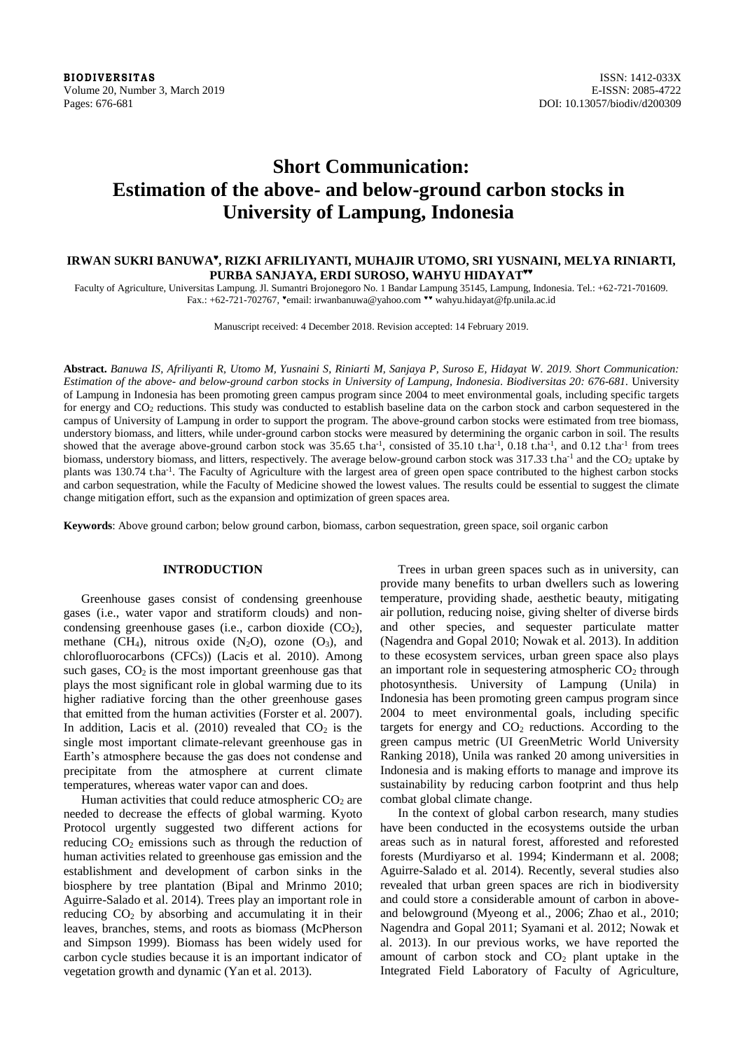**BIODIVERSITAS** ISSN: 1412-033X<br>Volume 20, Number 3, March 2019 **ISSN: 20085-4722** Volume 20, Number 3, March 2019 Pages: 676-681 DOI: 10.13057/biodiv/d200309

# **Short Communication: Estimation of the above- and below-ground carbon stocks in University of Lampung, Indonesia**

## **IRWAN SUKRI BANUWA♥ , RIZKI AFRILIYANTI, MUHAJIR UTOMO, SRI YUSNAINI, MELYA RINIARTI,**   $\bf{PURBA}$  SANJAYA, ERDI SUROSO, WAHYU HIDAYAT**\*\***

Faculty of Agriculture, Universitas Lampung. Jl. Sumantri Brojonegoro No. 1 Bandar Lampung 35145, Lampung, Indonesia. Tel.: +62-721-701609. Fax.: +62-721-702767, "email: irwanbanuwa@yahoo.com "" wahyu.hidayat@fp.unila.ac.id

Manuscript received: 4 December 2018. Revision accepted: 14 February 2019.

**Abstract.** *Banuwa IS, Afriliyanti R, Utomo M, Yusnaini S, Riniarti M, Sanjaya P, Suroso E, Hidayat W. 2019. Short Communication: Estimation of the above- and below-ground carbon stocks in University of Lampung, Indonesia. Biodiversitas 20: 676-681.* University of Lampung in Indonesia has been promoting green campus program since 2004 to meet environmental goals, including specific targets for energy and CO<sup>2</sup> reductions. This study was conducted to establish baseline data on the carbon stock and carbon sequestered in the campus of University of Lampung in order to support the program. The above-ground carbon stocks were estimated from tree biomass, understory biomass, and litters, while under-ground carbon stocks were measured by determining the organic carbon in soil. The results showed that the average above-ground carbon stock was  $35.65$  t.ha<sup>-1</sup>, consisted of  $35.10$  t.ha<sup>-1</sup>,  $0.18$  t.ha<sup>-1</sup>, and  $0.12$  t.ha<sup>-1</sup> from trees biomass, understory biomass, and litters, respectively. The average below-ground carbon stock was 317.33 t.ha<sup>-1</sup> and the CO<sub>2</sub> uptake by plants was 130.74 t.ha<sup>-1</sup>. The Faculty of Agriculture with the largest area of green open space contributed to the highest carbon stocks and carbon sequestration, while the Faculty of Medicine showed the lowest values. The results could be essential to suggest the climate change mitigation effort, such as the expansion and optimization of green spaces area.

**Keywords**: Above ground carbon; below ground carbon, biomass, carbon sequestration, green space, soil organic carbon

## **INTRODUCTION**

Greenhouse gases consist of condensing greenhouse gases (i.e., water vapor and stratiform clouds) and noncondensing greenhouse gases (i.e., carbon dioxide  $(CO<sub>2</sub>)$ , methane (CH<sub>4</sub>), nitrous oxide  $(N_2O)$ , ozone  $(O_3)$ , and chlorofluorocarbons (CFCs)) (Lacis et al. 2010). Among such gases,  $CO<sub>2</sub>$  is the most important greenhouse gas that plays the most significant role in global warming due to its higher radiative forcing than the other greenhouse gases that emitted from the human activities (Forster et al. 2007). In addition, Lacis et al. (2010) revealed that  $CO<sub>2</sub>$  is the single most important climate-relevant greenhouse gas in Earth's atmosphere because the gas does not condense and precipitate from the atmosphere at current climate temperatures, whereas water vapor can and does.

Human activities that could reduce atmospheric  $CO<sub>2</sub>$  are needed to decrease the effects of global warming. Kyoto Protocol urgently suggested two different actions for reducing  $CO<sub>2</sub>$  emissions such as through the reduction of human activities related to greenhouse gas emission and the establishment and development of carbon sinks in the biosphere by tree plantation (Bipal and Mrinmo 2010; Aguirre-Salado et al. 2014). Trees play an important role in reducing  $CO<sub>2</sub>$  by absorbing and accumulating it in their leaves, branches, stems, and roots as biomass (McPherson and Simpson 1999). Biomass has been widely used for carbon cycle studies because it is an important indicator of vegetation growth and dynamic (Yan et al. 2013).

Trees in urban green spaces such as in university, can provide many benefits to urban dwellers such as lowering temperature, providing shade, aesthetic beauty, mitigating air pollution, reducing noise, giving shelter of diverse birds and other species, and sequester particulate matter (Nagendra and Gopal 2010; Nowak et al. 2013). In addition to these ecosystem services, urban green space also plays an important role in sequestering atmospheric  $CO<sub>2</sub>$  through photosynthesis. University of Lampung (Unila) in Indonesia has been promoting green campus program since 2004 to meet environmental goals, including specific targets for energy and  $CO<sub>2</sub>$  reductions. According to the green campus metric (UI GreenMetric World University Ranking 2018), Unila was ranked 20 among universities in Indonesia and is making efforts to manage and improve its sustainability by reducing carbon footprint and thus help combat global climate change.

In the context of global carbon research, many studies have been conducted in the ecosystems outside the urban areas such as in natural forest, afforested and reforested forests (Murdiyarso et al. 1994; Kindermann et al. 2008; Aguirre-Salado et al. 2014). Recently, several studies also revealed that urban green spaces are rich in biodiversity and could store a considerable amount of carbon in aboveand belowground (Myeong et al., 2006; Zhao et al., 2010; Nagendra and Gopal 2011; Syamani et al. 2012; Nowak et al. 2013). In our previous works, we have reported the amount of carbon stock and  $CO<sub>2</sub>$  plant uptake in the Integrated Field Laboratory of Faculty of Agriculture,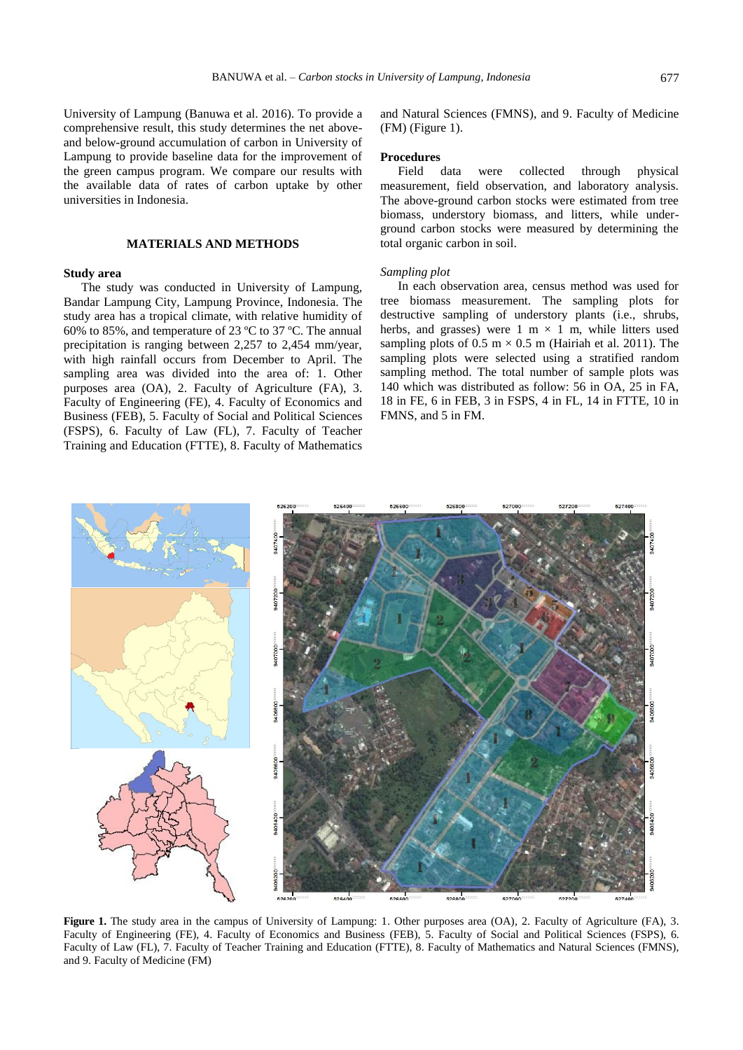University of Lampung (Banuwa et al. 2016). To provide a comprehensive result, this study determines the net aboveand below-ground accumulation of carbon in University of Lampung to provide baseline data for the improvement of the green campus program. We compare our results with the available data of rates of carbon uptake by other universities in Indonesia.

## **MATERIALS AND METHODS**

## **Study area**

The study was conducted in University of Lampung, Bandar Lampung City, Lampung Province, Indonesia. The study area has a tropical climate, with relative humidity of 60% to 85%, and temperature of 23 ºC to 37 ºC. The annual precipitation is ranging between 2,257 to 2,454 mm/year, with high rainfall occurs from December to April. The sampling area was divided into the area of: 1. Other purposes area (OA), 2. Faculty of Agriculture (FA), 3. Faculty of Engineering (FE), 4. Faculty of Economics and Business (FEB), 5. Faculty of Social and Political Sciences (FSPS), 6. Faculty of Law (FL), 7. Faculty of Teacher Training and Education (FTTE), 8. Faculty of Mathematics and Natural Sciences (FMNS), and 9. Faculty of Medicine (FM) (Figure 1).

## **Procedures**

Field data were collected through physical measurement, field observation, and laboratory analysis. The above-ground carbon stocks were estimated from tree biomass, understory biomass, and litters, while underground carbon stocks were measured by determining the total organic carbon in soil.

## *Sampling plot*

In each observation area, census method was used for tree biomass measurement. The sampling plots for destructive sampling of understory plants (i.e., shrubs, herbs, and grasses) were 1 m  $\times$  1 m, while litters used sampling plots of  $0.5 \text{ m} \times 0.5 \text{ m}$  (Hairiah et al. 2011). The sampling plots were selected using a stratified random sampling method. The total number of sample plots was 140 which was distributed as follow: 56 in OA, 25 in FA, 18 in FE, 6 in FEB, 3 in FSPS, 4 in FL, 14 in FTTE, 10 in FMNS, and 5 in FM.

5270

627200

527406



52640

**ROCCOL** 

Faculty of Engineering (FE), 4. Faculty of Economics and Business (FEB), 5. Faculty of Social and Political Sciences (FSPS), 6. Faculty of Law (FL), 7. Faculty of Teacher Training and Education (FTTE), 8. Faculty of Mathematics and Natural Sciences (FMNS), and 9. Faculty of Medicine (FM)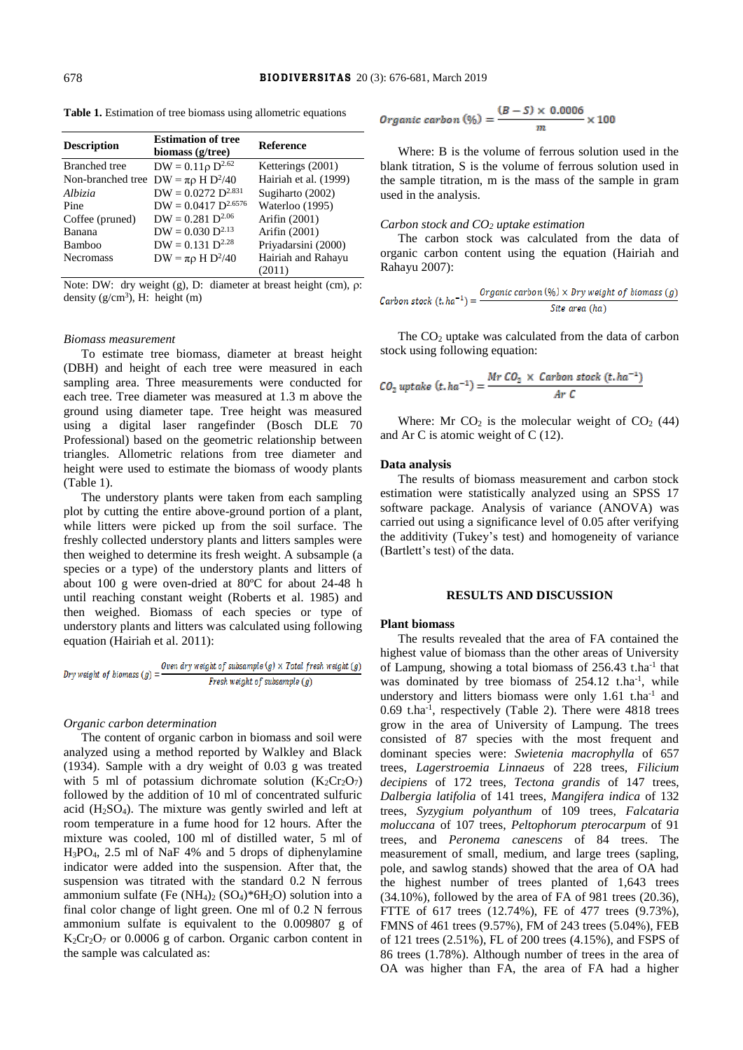| <b>Description</b>                         | <b>Estimation of tree</b><br>biomass (g/tree) | <b>Reference</b>      |
|--------------------------------------------|-----------------------------------------------|-----------------------|
| <b>Branched</b> tree                       | $DW = 0.11 \rho D^{2.62}$                     | Ketterings (2001)     |
| Non-branched tree $DW = \pi \rho H D^2/40$ |                                               | Hairiah et al. (1999) |
| Albizia                                    | $DW = 0.0272 D^{2.831}$                       | Sugiharto (2002)      |
| Pine                                       | $DW = 0.0417 D^{2.6576}$                      | Waterloo (1995)       |
| Coffee (pruned)                            | $DW = 0.281 D^{2.06}$                         | Arifin (2001)         |
| Banana                                     | $DW = 0.030 D^{2.13}$                         | Arifin (2001)         |
| Bamboo                                     | $DW = 0.131 D^{2.28}$                         | Priyadarsini (2000)   |
| <b>Necromass</b>                           | $DW = \pi \rho H D^2/40$                      | Hairiah and Rahayu    |
|                                            |                                               | (2011)                |

**Table 1.** Estimation of tree biomass using allometric equations

Note: DW: dry weight (g), D: diameter at breast height (cm),  $\rho$ : density  $(g/cm<sup>3</sup>)$ , H: height (m)

#### *Biomass measurement*

To estimate tree biomass, diameter at breast height (DBH) and height of each tree were measured in each sampling area. Three measurements were conducted for each tree. Tree diameter was measured at 1.3 m above the ground using diameter tape. Tree height was measured using a digital laser rangefinder (Bosch DLE 70 Professional) based on the geometric relationship between triangles. Allometric relations from tree diameter and height were used to estimate the biomass of woody plants (Table 1).

The understory plants were taken from each sampling plot by cutting the entire above-ground portion of a plant, while litters were picked up from the soil surface. The freshly collected understory plants and litters samples were then weighed to determine its fresh weight. A subsample (a species or a type) of the understory plants and litters of about 100 g were oven-dried at 80ºC for about 24-48 h until reaching constant weight (Roberts et al. 1985) and then weighed. Biomass of each species or type of understory plants and litters was calculated using following equation (Hairiah et al. 2011):

$$
Dry weight of biomass (g) = \frac{Oven dry weight of subsample (g) \times Total fresh weight (g)}{Fresh weight of subsample (g)}
$$

## *Organic carbon determination*

The content of organic carbon in biomass and soil were analyzed using a method reported by Walkley and Black (1934). Sample with a dry weight of 0.03 g was treated with 5 ml of potassium dichromate solution  $(K_2Cr_2O_7)$ followed by the addition of 10 ml of concentrated sulfuric acid (H2SO4). The mixture was gently swirled and left at room temperature in a fume hood for 12 hours. After the mixture was cooled, 100 ml of distilled water, 5 ml of H3PO4, 2.5 ml of NaF 4% and 5 drops of diphenylamine indicator were added into the suspension. After that, the suspension was titrated with the standard 0.2 N ferrous ammonium sulfate (Fe  $(NH_4)_2$   $(SO_4)^*6H_2O$ ) solution into a final color change of light green. One ml of 0.2 N ferrous ammonium sulfate is equivalent to the 0.009807 g of  $K_2Cr_2O_7$  or 0.0006 g of carbon. Organic carbon content in the sample was calculated as:

$$
Organic\ carbon\ (\%) = \frac{(B-S) \times 0.0006}{m} \times 100
$$

Where: B is the volume of ferrous solution used in the blank titration, S is the volume of ferrous solution used in the sample titration, m is the mass of the sample in gram used in the analysis.

## *Carbon stock and CO<sup>2</sup> uptake estimation*

The carbon stock was calculated from the data of organic carbon content using the equation (Hairiah and Rahayu 2007):

$$
Carbon stock (t.ha^{-1}) = \frac{Organic carbon (\%) \times Dry weight of biomass (g)}{Site area (ha)}
$$

The  $CO<sub>2</sub>$  uptake was calculated from the data of carbon stock using following equation:

$$
CO_2 \text{ uptake } (t, ha^{-1}) = \frac{Mr\ CO_2 \times Carbon\ stock\ (t, ha^{-1})}{Ar\ C}
$$

Where: Mr  $CO<sub>2</sub>$  is the molecular weight of  $CO<sub>2</sub>$  (44) and Ar C is atomic weight of C (12).

#### **Data analysis**

The results of biomass measurement and carbon stock estimation were statistically analyzed using an SPSS 17 software package. Analysis of variance (ANOVA) was carried out using a significance level of 0.05 after verifying the additivity (Tukey's test) and homogeneity of variance (Bartlett's test) of the data.

## **RESULTS AND DISCUSSION**

# **Plant biomass**

The results revealed that the area of FA contained the highest value of biomass than the other areas of University of Lampung, showing a total biomass of 256.43 t.ha<sup>-1</sup> that was dominated by tree biomass of 254.12 t.ha<sup>-1</sup>, while understory and litters biomass were only 1.61 t.ha<sup>-1</sup> and 0.69 t.ha<sup>-1</sup>, respectively (Table 2). There were 4818 trees grow in the area of University of Lampung. The trees consisted of 87 species with the most frequent and dominant species were: *Swietenia macrophylla* of 657 trees, *Lagerstroemia Linnaeus* of 228 trees, *Filicium decipiens* of 172 trees, *Tectona grandis* of 147 trees, *Dalbergia latifolia* of 141 trees, *Mangifera indica* of 132 trees, *Syzygium polyanthum* of 109 trees, *Falcataria moluccana* of 107 trees, *Peltophorum pterocarpum* of 91 trees, and *Peronema canescens* of 84 trees. The measurement of small, medium, and large trees (sapling, pole, and sawlog stands) showed that the area of OA had the highest number of trees planted of 1,643 trees (34.10%), followed by the area of FA of 981 trees (20.36), FTTE of 617 trees (12.74%), FE of 477 trees (9.73%), FMNS of 461 trees (9.57%), FM of 243 trees (5.04%), FEB of 121 trees (2.51%), FL of 200 trees (4.15%), and FSPS of 86 trees (1.78%). Although number of trees in the area of OA was higher than FA, the area of FA had a higher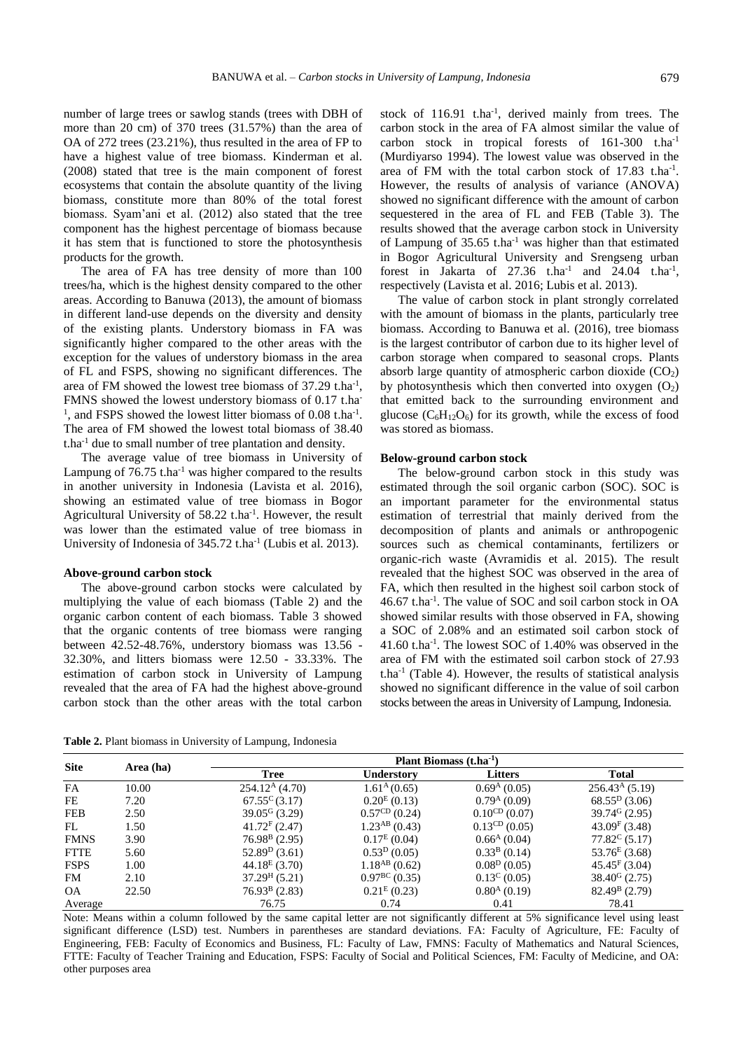number of large trees or sawlog stands (trees with DBH of more than 20 cm) of 370 trees (31.57%) than the area of OA of 272 trees (23.21%), thus resulted in the area of FP to have a highest value of tree biomass. Kinderman et al. (2008) stated that tree is the main component of forest ecosystems that contain the absolute quantity of the living biomass, constitute more than 80% of the total forest biomass. Syam'ani et al. (2012) also stated that the tree component has the highest percentage of biomass because it has stem that is functioned to store the photosynthesis products for the growth.

The area of FA has tree density of more than 100 trees/ha, which is the highest density compared to the other areas. According to Banuwa (2013), the amount of biomass in different land-use depends on the diversity and density of the existing plants. Understory biomass in FA was significantly higher compared to the other areas with the exception for the values of understory biomass in the area of FL and FSPS, showing no significant differences. The area of FM showed the lowest tree biomass of  $37.29$  t.ha<sup>-1</sup>, FMNS showed the lowest understory biomass of 0.17 t.ha-<sup>1</sup>, and FSPS showed the lowest litter biomass of 0.08 t.ha<sup>-1</sup>. The area of FM showed the lowest total biomass of 38.40 t.ha-1 due to small number of tree plantation and density.

The average value of tree biomass in University of Lampung of  $76.75$  t.ha<sup>-1</sup> was higher compared to the results in another university in Indonesia (Lavista et al. 2016), showing an estimated value of tree biomass in Bogor Agricultural University of 58.22 t.ha<sup>-1</sup>. However, the result was lower than the estimated value of tree biomass in University of Indonesia of 345.72 t.ha<sup>-1</sup> (Lubis et al. 2013).

#### **Above-ground carbon stock**

The above-ground carbon stocks were calculated by multiplying the value of each biomass (Table 2) and the organic carbon content of each biomass. Table 3 showed that the organic contents of tree biomass were ranging between 42.52-48.76%, understory biomass was 13.56 - 32.30%, and litters biomass were 12.50 - 33.33%. The estimation of carbon stock in University of Lampung revealed that the area of FA had the highest above-ground carbon stock than the other areas with the total carbon

stock of 116.91 t.ha<sup>-1</sup>, derived mainly from trees. The carbon stock in the area of FA almost similar the value of carbon stock in tropical forests of 161-300 t.ha-1 (Murdiyarso 1994). The lowest value was observed in the area of FM with the total carbon stock of  $17.83$  t.ha<sup>-1</sup>. However, the results of analysis of variance (ANOVA) showed no significant difference with the amount of carbon sequestered in the area of FL and FEB (Table 3). The results showed that the average carbon stock in University of Lampung of 35.65 t.ha-1 was higher than that estimated in Bogor Agricultural University and Srengseng urban forest in Jakarta of  $27.36$  t.ha<sup>-1</sup> and  $24.04$  t.ha<sup>-1</sup>, respectively (Lavista et al. 2016; Lubis et al. 2013).

The value of carbon stock in plant strongly correlated with the amount of biomass in the plants, particularly tree biomass. According to Banuwa et al. (2016), tree biomass is the largest contributor of carbon due to its higher level of carbon storage when compared to seasonal crops. Plants absorb large quantity of atmospheric carbon dioxide  $(CO<sub>2</sub>)$ by photosynthesis which then converted into oxygen  $(O_2)$ that emitted back to the surrounding environment and glucose  $(C_6H_{12}O_6)$  for its growth, while the excess of food was stored as biomass.

## **Below-ground carbon stock**

The below-ground carbon stock in this study was estimated through the soil organic carbon (SOC). SOC is an important parameter for the environmental status estimation of terrestrial that mainly derived from the decomposition of plants and animals or anthropogenic sources such as chemical contaminants, fertilizers or organic-rich waste (Avramidis et al. 2015). The result revealed that the highest SOC was observed in the area of FA, which then resulted in the highest soil carbon stock of 46.67 t.ha-1 . The value of SOC and soil carbon stock in OA showed similar results with those observed in FA, showing a SOC of 2.08% and an estimated soil carbon stock of 41.60 t.ha-1 . The lowest SOC of 1.40% was observed in the area of FM with the estimated soil carbon stock of 27.93  $t.ha^{-1}$  (Table 4). However, the results of statistical analysis showed no significant difference in the value of soil carbon stocks between the areas in University of Lampung, Indonesia.

**Table 2.** Plant biomass in University of Lampung, Indonesia

| <b>Site</b> | Area (ha) | Plant Biomass $(t.ha^{-1})$ |                           |                           |                             |
|-------------|-----------|-----------------------------|---------------------------|---------------------------|-----------------------------|
|             |           | <b>Tree</b>                 | <b>Understory</b>         | Litters                   | <b>Total</b>                |
| <b>FA</b>   | 10.00     | 254.12 <sup>A</sup> (4.70)  | 1.61 <sup>A</sup> (0.65)  | 0.69 <sup>A</sup> (0.05)  | 256.43 <sup>A</sup> (5.19)  |
| FE          | 7.20      | $67.55^{\circ}$ (3.17)      | $0.20^{E} (0.13)$         | 0.79 <sup>A</sup> (0.09)  | $68.55D$ (3.06)             |
| <b>FEB</b>  | 2.50      | $39.05G$ (3.29)             | $0.57^{\text{CD}}$ (0.24) | $0.10^{CD}$ (0.07)        | $39.746$ (2.95)             |
| FL          | 1.50      | $41.72F$ (2.47)             | $1.23^{AB}$ (0.43)        | $0.13^{\text{CD}}$ (0.05) | $43.09F$ (3.48)             |
| <b>FMNS</b> | 3.90      | $76.98B$ (2.95)             | $0.17^E(0.04)$            | $0.66^{\rm A}$ (0.04)     | $77.82^{\circ}$ (5.17)      |
| <b>FTTE</b> | 5.60      | $52.89D$ (3.61)             | $0.53^D(0.05)$            | $0.33B$ (0.14)            | $53.76^{E}$ (3.68)          |
| <b>FSPS</b> | 1.00      | $44.18E$ (3.70)             | $1.18^{AB}$ (0.62)        | 0.08 <sup>D</sup> (0.05)  | $45.45$ <sup>F</sup> (3.04) |
| FM          | 2.10      | $37.29H$ (5.21)             | $0.97^{\text{BC}}(0.35)$  | $0.13^{\circ} (0.05)$     | $38.40^{\rm G}$ (2.75)      |
| <b>OA</b>   | 22.50     | $76.93B$ (2.83)             | $0.21^{E}(0.23)$          | $0.80A$ (0.19)            | $82.49^{\rm B}$ (2.79)      |
| Average     |           | 76.75                       | 0.74                      | 0.41                      | 78.41                       |

Note: Means within a column followed by the same capital letter are not significantly different at 5% significance level using least significant difference (LSD) test. Numbers in parentheses are standard deviations. FA: Faculty of Agriculture, FE: Faculty of Engineering, FEB: Faculty of Economics and Business, FL: Faculty of Law, FMNS: Faculty of Mathematics and Natural Sciences, FTTE: Faculty of Teacher Training and Education, FSPS: Faculty of Social and Political Sciences, FM: Faculty of Medicine, and OA: other purposes area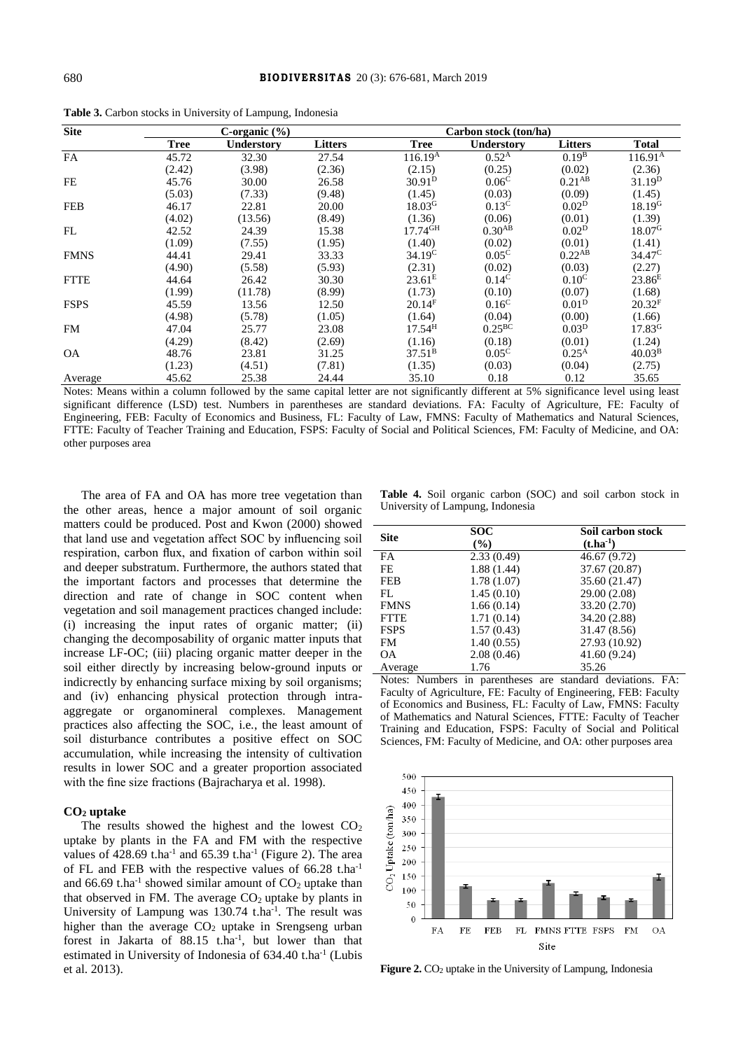| <b>Site</b> |             | C-organic $(\% )$ |                |                       | Carbon stock (ton/ha) |                    |                     |
|-------------|-------------|-------------------|----------------|-----------------------|-----------------------|--------------------|---------------------|
|             | <b>Tree</b> | <b>Understory</b> | <b>Litters</b> | <b>Tree</b>           | Understory            | <b>Litters</b>     | <b>Total</b>        |
| FA          | 45.72       | 32.30             | 27.54          | 116.19 <sup>A</sup>   | 0.52 <sup>A</sup>     | 0.19 <sup>B</sup>  | 116.91 <sup>A</sup> |
|             | (2.42)      | (3.98)            | (2.36)         | (2.15)                | (0.25)                | (0.02)             | (2.36)              |
| <b>FE</b>   | 45.76       | 30.00             | 26.58          | $30.91^{D}$           | 0.06 <sup>C</sup>     | 0.21 <sup>AB</sup> | 31.19 <sup>D</sup>  |
|             | (5.03)      | (7.33)            | (9.48)         | (1.45)                | (0.03)                | (0.09)             | (1.45)              |
| <b>FEB</b>  | 46.17       | 22.81             | 20.00          | 18.03 <sup>G</sup>    | 0.13 <sup>C</sup>     | 0.02 <sup>D</sup>  | 18.19 <sup>G</sup>  |
|             | (4.02)      | (13.56)           | (8.49)         | (1.36)                | (0.06)                | (0.01)             | (1.39)              |
| FL          | 42.52       | 24.39             | 15.38          | $17.74$ <sup>GH</sup> | $0.30^{AB}$           | 0.02 <sup>D</sup>  | 18.07 <sup>G</sup>  |
|             | (1.09)      | (7.55)            | (1.95)         | (1.40)                | (0.02)                | (0.01)             | (1.41)              |
| <b>FMNS</b> | 44.41       | 29.41             | 33.33          | 34.19 <sup>C</sup>    | $0.05^{\circ}$        | 0.22 <sup>AB</sup> | 34.47 <sup>C</sup>  |
|             | (4.90)      | (5.58)            | (5.93)         | (2.31)                | (0.02)                | (0.03)             | (2.27)              |
| <b>FTTE</b> | 44.64       | 26.42             | 30.30          | 23.61 <sup>E</sup>    | $0.14^{\circ}$        | 0.10 <sup>C</sup>  | $23.86^E$           |
|             | (1.99)      | (11.78)           | (8.99)         | (1.73)                | (0.10)                | (0.07)             | (1.68)              |
| <b>FSPS</b> | 45.59       | 13.56             | 12.50          | 20.14 <sup>F</sup>    | 0.16 <sup>C</sup>     | 0.01 <sup>D</sup>  | 20.32 <sup>F</sup>  |
|             | (4.98)      | (5.78)            | (1.05)         | (1.64)                | (0.04)                | (0.00)             | (1.66)              |
| FM          | 47.04       | 25.77             | 23.08          | 17.54 <sup>H</sup>    | $0.25^{\rm BC}$       | 0.03 <sup>D</sup>  | 17.83 <sup>G</sup>  |
|             | (4.29)      | (8.42)            | (2.69)         | (1.16)                | (0.18)                | (0.01)             | (1.24)              |
| <b>OA</b>   | 48.76       | 23.81             | 31.25          | $37.51^{\rm B}$       | 0.05 <sup>C</sup>     | $0.25^{\rm A}$     | 40.03 <sup>B</sup>  |
|             | (1.23)      | (4.51)            | (7.81)         | (1.35)                | (0.03)                | (0.04)             | (2.75)              |
| Average     | 45.62       | 25.38             | 24.44          | 35.10                 | 0.18                  | 0.12               | 35.65               |

**Table 3.** Carbon stocks in University of Lampung, Indonesia

Notes: Means within a column followed by the same capital letter are not significantly different at 5% significance level using least significant difference (LSD) test. Numbers in parentheses are standard deviations. FA: Faculty of Agriculture, FE: Faculty of Engineering, FEB: Faculty of Economics and Business, FL: Faculty of Law, FMNS: Faculty of Mathematics and Natural Sciences, FTTE: Faculty of Teacher Training and Education, FSPS: Faculty of Social and Political Sciences, FM: Faculty of Medicine, and OA: other purposes area

The area of FA and OA has more tree vegetation than the other areas, hence a major amount of soil organic matters could be produced. Post and Kwon (2000) showed that land use and vegetation affect SOC by influencing soil respiration, carbon flux, and fixation of carbon within soil and deeper substratum. Furthermore, the authors stated that the important factors and processes that determine the direction and rate of change in SOC content when vegetation and soil management practices changed include: (i) increasing the input rates of organic matter; (ii) changing the decomposability of organic matter inputs that increase LF-OC; (iii) placing organic matter deeper in the soil either directly by increasing below-ground inputs or indicrectly by enhancing surface mixing by soil organisms; and (iv) enhancing physical protection through intraaggregate or organomineral complexes. Management practices also affecting the SOC, i.e*.*, the least amount of soil disturbance contributes a positive effect on SOC accumulation, while increasing the intensity of cultivation results in lower SOC and a greater proportion associated with the fine size fractions (Bajracharya et al. 1998).

#### **CO<sup>2</sup> uptake**

The results showed the highest and the lowest  $CO<sub>2</sub>$ uptake by plants in the FA and FM with the respective values of  $428.69$  t.ha<sup>-1</sup> and  $65.39$  t.ha<sup>-1</sup> (Figure 2). The area of FL and FEB with the respective values of 66.28 t.ha-1 and 66.69 t.ha<sup>-1</sup> showed similar amount of  $CO<sub>2</sub>$  uptake than that observed in FM. The average  $CO<sub>2</sub>$  uptake by plants in University of Lampung was 130.74 t.ha<sup>-1</sup>. The result was higher than the average  $CO<sub>2</sub>$  uptake in Srengseng urban forest in Jakarta of 88.15 t.ha<sup>-1</sup>, but lower than that estimated in University of Indonesia of 634.40 t.ha<sup>-1</sup> (Lubis et al. 2013).

**Table 4.** Soil organic carbon (SOC) and soil carbon stock in University of Lampung, Indonesia

| <b>Site</b> | <b>SOC</b><br>(%) | Soil carbon stock<br>$(t.ha^{-1})$ |
|-------------|-------------------|------------------------------------|
| FA.         | 2.33(0.49)        | 46.67 (9.72)                       |
| FE.         | 1.88(1.44)        | 37.67 (20.87)                      |
| <b>FEB</b>  | 1.78(1.07)        | 35.60 (21.47)                      |
| FL.         | 1.45(0.10)        | 29.00 (2.08)                       |
| <b>FMNS</b> | 1.66(0.14)        | 33.20 (2.70)                       |
| <b>FTTE</b> | 1.71(0.14)        | 34.20 (2.88)                       |
| <b>FSPS</b> | 1.57(0.43)        | 31.47 (8.56)                       |
| <b>FM</b>   | 1.40(0.55)        | 27.93 (10.92)                      |
| <b>OA</b>   | 2.08(0.46)        | 41.60 (9.24)                       |
| Average     | 1.76              | 35.26                              |

Notes: Numbers in parentheses are standard deviations. FA: Faculty of Agriculture, FE: Faculty of Engineering, FEB: Faculty of Economics and Business, FL: Faculty of Law, FMNS: Faculty of Mathematics and Natural Sciences, FTTE: Faculty of Teacher Training and Education, FSPS: Faculty of Social and Political Sciences, FM: Faculty of Medicine, and OA: other purposes area



Figure 2. CO<sub>2</sub> uptake in the University of Lampung, Indonesia